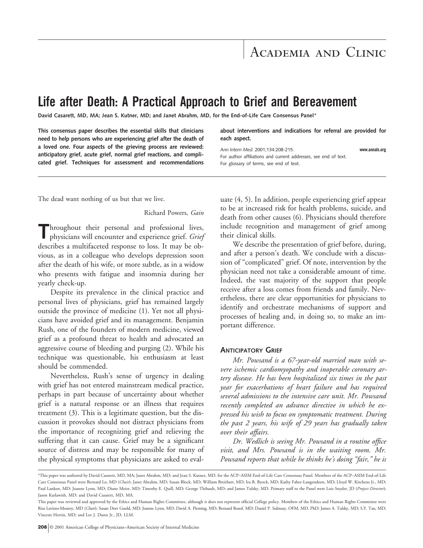# Academia and Clinic

## **Life after Death: A Practical Approach to Grief and Bereavement**

**David Casarett, MD, MA; Jean S. Kutner, MD; and Janet Abrahm, MD, for the End-of-Life Care Consensus Panel**\*

**This consensus paper describes the essential skills that clinicians need to help persons who are experiencing grief after the death of a loved one. Four aspects of the grieving process are reviewed: anticipatory grief, acute grief, normal grief reactions, and complicated grief. Techniques for assessment and recommendations**

## **about interventions and indications for referral are provided for each aspect.**

*Ann Intern Med.* 2001;134:208-215. **www.annals.org** For author affiliations and current addresses, see end of text. For glossary of terms, see end of text.

The dead want nothing of us but that we live.

#### Richard Powers, *Gain*

**Throughout their personal and professional lives,** physicians will encounter and experience grief. *Grief* describes a multifaceted response to loss. It may be obvious, as in a colleague who develops depression soon after the death of his wife, or more subtle, as in a widow who presents with fatigue and insomnia during her yearly check-up.

Despite its prevalence in the clinical practice and personal lives of physicians, grief has remained largely outside the province of medicine (1). Yet not all physicians have avoided grief and its management. Benjamin Rush, one of the founders of modern medicine, viewed grief as a profound threat to health and advocated an aggressive course of bleeding and purging (2). While his technique was questionable, his enthusiasm at least should be commended.

Nevertheless, Rush's sense of urgency in dealing with grief has not entered mainstream medical practice, perhaps in part because of uncertainty about whether grief is a natural response or an illness that requires treatment (3). This is a legitimate question, but the discussion it provokes should not distract physicians from the importance of recognizing grief and relieving the suffering that it can cause. Grief may be a significant source of distress and may be responsible for many of the physical symptoms that physicians are asked to eval-

uate (4, 5). In addition, people experiencing grief appear to be at increased risk for health problems, suicide, and death from other causes (6). Physicians should therefore include recognition and management of grief among their clinical skills.

We describe the presentation of grief before, during, and after a person's death. We conclude with a discussion of "complicated" grief. Of note, intervention by the physician need not take a considerable amount of time. Indeed, the vast majority of the support that people receive after a loss comes from friends and family. Nevertheless, there are clear opportunities for physicians to identify and orchestrate mechanisms of support and processes of healing and, in doing so, to make an important difference.

## **ANTICIPATORY GRIEF**

*Mr. Powsand is a 67-year-old married man with severe ischemic cardiomyopathy and inoperable coronary artery disease. He has been hospitalized six times in the past year for exacerbations of heart failure and has required several admissions to the intensive care unit. Mr. Powsand recently completed an advance directive in which he expressed his wish to focus on symptomatic treatment. During the past 2 years, his wife of 29 years has gradually taken over their affairs.*

*Dr. Wedlich is seeing Mr. Powsand in a routine office visit, and Mrs. Powsand is in the waiting room. Mr. Powsand reports that while he thinks he's doing "fair," he is*

<sup>\*</sup>This paper was authored by David Casarett, MD, MA; Janet Abrahm, MD; and Jean S. Kutner, MD, for the ACP–ASIM End-of-Life Care Consensus Panel. Members of the ACP–ASIM End-of-Life Care Consensus Panel were Bernard Lo, MD (Chair); Janet Abrahm, MD; Susan Block, MD; William Breitbart, MD; Ira R. Byock, MD; Kathy Faber-Langendoen, MD; Lloyd W. Kitchens Jr., MD; Paul Lanken, MD; Joanne Lynn, MD; Diane Meier, MD; Timothy E. Quill, MD; George Thibault, MD; and James Tulsky, MD. Primary staff to the Panel were Lois Snyder, JD (*Project Director*); Jason Karlawish, MD; and David Casarett, MD, MA.

This paper was reviewed and approved by the Ethics and Human Rights Committee, although it does not represent official College policy. Members of the Ethics and Human Rights Committee were Risa Lavizzo-Mourey, MD (Chair); Susan Dorr Goold, MD; Joanne Lynn, MD; David A. Fleming, MD; Bernard Rosof, MD; Daniel P. Sulmasy, OFM, MD, PhD; James A. Tulsky, MD; S.Y. Tan, MD; Vincent Herrin, MD; and Lee J. Dunn Jr., JD, LLM.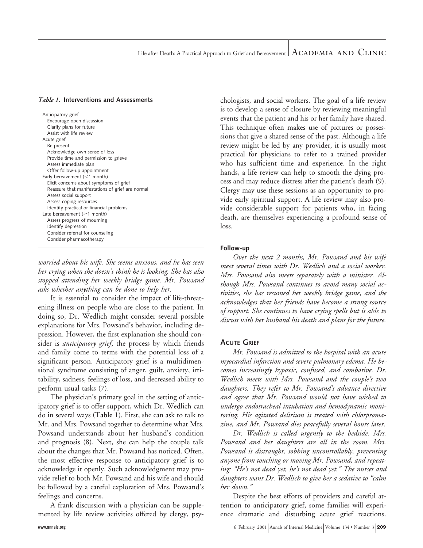#### *Table 1.* **Interventions and Assessments**

| Anticipatory grief<br>Encourage open discussion<br>Clarify plans for future<br>Assist with life review |
|--------------------------------------------------------------------------------------------------------|
| Acute grief                                                                                            |
| Be present                                                                                             |
| Acknowledge own sense of loss                                                                          |
| Provide time and permission to grieve                                                                  |
| Assess immediate plan                                                                                  |
| Offer follow-up appointment                                                                            |
| Early bereavement (<1 month)                                                                           |
| Elicit concerns about symptoms of grief                                                                |
| Reassure that manifestations of grief are normal                                                       |
| Assess social support                                                                                  |
| Assess coping resources                                                                                |
| Identify practical or financial problems                                                               |
| Late bereavement $(\geq 1$ month)                                                                      |
| Assess progress of mourning                                                                            |
| Identify depression                                                                                    |
| Consider referral for counseling                                                                       |
| Consider pharmacotherapy                                                                               |
|                                                                                                        |

*worried about his wife. She seems anxious, and he has seen her crying when she doesn't think he is looking. She has also stopped attending her weekly bridge game. Mr. Powsand asks whether anything can be done to help her.*

It is essential to consider the impact of life-threatening illness on people who are close to the patient. In doing so, Dr. Wedlich might consider several possible explanations for Mrs. Powsand's behavior, including depression. However, the first explanation she should consider is *anticipatory grief*, the process by which friends and family come to terms with the potential loss of a significant person. Anticipatory grief is a multidimensional syndrome consisting of anger, guilt, anxiety, irritability, sadness, feelings of loss, and decreased ability to perform usual tasks (7).

The physician's primary goal in the setting of anticipatory grief is to offer support, which Dr. Wedlich can do in several ways (**Table 1**). First, she can ask to talk to Mr. and Mrs. Powsand together to determine what Mrs. Powsand understands about her husband's condition and prognosis (8). Next, she can help the couple talk about the changes that Mr. Powsand has noticed. Often, the most effective response to anticipatory grief is to acknowledge it openly. Such acknowledgment may provide relief to both Mr. Powsand and his wife and should be followed by a careful exploration of Mrs. Powsand's feelings and concerns.

A frank discussion with a physician can be supplemented by life review activities offered by clergy, psychologists, and social workers. The goal of a life review is to develop a sense of closure by reviewing meaningful events that the patient and his or her family have shared. This technique often makes use of pictures or possessions that give a shared sense of the past. Although a life review might be led by any provider, it is usually most practical for physicians to refer to a trained provider who has sufficient time and experience. In the right hands, a life review can help to smooth the dying process and may reduce distress after the patient's death (9). Clergy may use these sessions as an opportunity to provide early spiritual support. A life review may also provide considerable support for patients who, in facing death, are themselves experiencing a profound sense of loss.

## **Follow-up**

*Over the next 2 months, Mr. Powsand and his wife meet several times with Dr. Wedlich and a social worker. Mrs. Powsand also meets separately with a minister. Although Mrs. Powsand continues to avoid many social activities, she has resumed her weekly bridge game, and she acknowledges that her friends have become a strong source of support. She continues to have crying spells but is able to discuss with her husband his death and plans for the future.*

## **ACUTE GRIEF**

*Mr. Powsand is admitted to the hospital with an acute myocardial infarction and severe pulmonary edema. He becomes increasingly hypoxic, confused, and combative. Dr. Wedlich meets with Mrs. Powsand and the couple's two daughters. They refer to Mr. Powsand's advance directive and agree that Mr. Powsand would not have wished to undergo endotracheal intubation and hemodynamic monitoring. His agitated delirium is treated with chlorpromazine, and Mr. Powsand dies peacefully several hours later.*

*Dr. Wedlich is called urgently to the bedside. Mrs. Powsand and her daughters are all in the room. Mrs. Powsand is distraught, sobbing uncontrollably, preventing anyone from touching or moving Mr. Powsand, and repeating: "He's not dead yet, he's not dead yet." The nurses and daughters want Dr. Wedlich to give her a sedative to "calm her down."*

Despite the best efforts of providers and careful attention to anticipatory grief, some families will experience dramatic and disturbing acute grief reactions.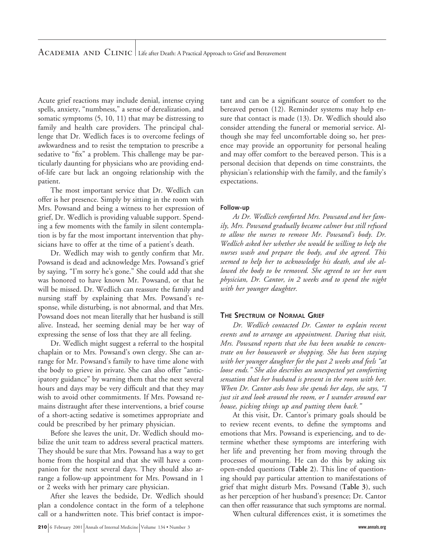Acute grief reactions may include denial, intense crying spells, anxiety, "numbness," a sense of derealization, and somatic symptoms (5, 10, 11) that may be distressing to family and health care providers. The principal challenge that Dr. Wedlich faces is to overcome feelings of awkwardness and to resist the temptation to prescribe a sedative to "fix" a problem. This challenge may be particularly daunting for physicians who are providing endof-life care but lack an ongoing relationship with the patient.

The most important service that Dr. Wedlich can offer is her presence. Simply by sitting in the room with Mrs. Powsand and being a witness to her expression of grief, Dr. Wedlich is providing valuable support. Spending a few moments with the family in silent contemplation is by far the most important intervention that physicians have to offer at the time of a patient's death.

Dr. Wedlich may wish to gently confirm that Mr. Powsand is dead and acknowledge Mrs. Powsand's grief by saying, "I'm sorry he's gone." She could add that she was honored to have known Mr. Powsand, or that he will be missed. Dr. Wedlich can reassure the family and nursing staff by explaining that Mrs. Powsand's response, while disturbing, is not abnormal, and that Mrs. Powsand does not mean literally that her husband is still alive. Instead, her seeming denial may be her way of expressing the sense of loss that they are all feeling.

Dr. Wedlich might suggest a referral to the hospital chaplain or to Mrs. Powsand's own clergy. She can arrange for Mr. Powsand's family to have time alone with the body to grieve in private. She can also offer "anticipatory guidance" by warning them that the next several hours and days may be very difficult and that they may wish to avoid other commitments. If Mrs. Powsand remains distraught after these interventions, a brief course of a short-acting sedative is sometimes appropriate and could be prescribed by her primary physician.

Before she leaves the unit, Dr. Wedlich should mobilize the unit team to address several practical matters. They should be sure that Mrs. Powsand has a way to get home from the hospital and that she will have a companion for the next several days. They should also arrange a follow-up appointment for Mrs. Powsand in 1 or 2 weeks with her primary care physician.

After she leaves the bedside, Dr. Wedlich should plan a condolence contact in the form of a telephone call or a handwritten note. This brief contact is important and can be a significant source of comfort to the bereaved person (12). Reminder systems may help ensure that contact is made (13). Dr. Wedlich should also consider attending the funeral or memorial service. Although she may feel uncomfortable doing so, her presence may provide an opportunity for personal healing and may offer comfort to the bereaved person. This is a personal decision that depends on time constraints, the physician's relationship with the family, and the family's expectations.

## **Follow-up**

*As Dr. Wedlich comforted Mrs. Powsand and her family, Mrs. Powsand gradually became calmer but still refused to allow the nurses to remove Mr. Powsand's body. Dr. Wedlich asked her whether she would be willing to help the nurses wash and prepare the body, and she agreed. This seemed to help her to acknowledge his death, and she allowed the body to be removed. She agreed to see her own physician, Dr. Cantor, in 2 weeks and to spend the night with her younger daughter.*

## **THE SPECTRUM OF NORMAL GRIEF**

*Dr. Wedlich contacted Dr. Cantor to explain recent events and to arrange an appointment. During that visit, Mrs. Powsand reports that she has been unable to concentrate on her housework or shopping. She has been staying with her younger daughter for the past 2 weeks and feels "at loose ends." She also describes an unexpected yet comforting sensation that her husband is present in the room with her. When Dr. Cantor asks how she spends her days, she says, "I just sit and look around the room, or I wander around our house, picking things up and putting them back."*

At this visit, Dr. Cantor's primary goals should be to review recent events, to define the symptoms and emotions that Mrs. Powsand is experiencing, and to determine whether these symptoms are interfering with her life and preventing her from moving through the processes of mourning. He can do this by asking six open-ended questions (**Table 2**). This line of questioning should pay particular attention to manifestations of grief that might disturb Mrs. Powsand (**Table 3**), such as her perception of her husband's presence; Dr. Cantor can then offer reassurance that such symptoms are normal.

When cultural differences exist, it is sometimes the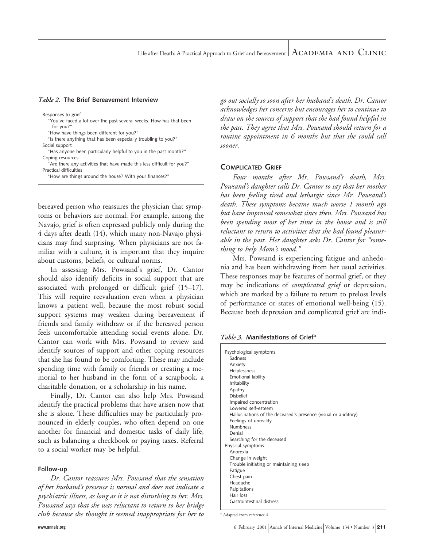#### *Table 2.* **The Brief Bereavement Interview**

| Responses to grief<br>"You've faced a lot over the past several weeks. How has that been<br>for you?" |
|-------------------------------------------------------------------------------------------------------|
| "How have things been different for you?"                                                             |
| "Is there anything that has been especially troubling to you?"                                        |
| Social support                                                                                        |
| "Has anyone been particularly helpful to you in the past month?"                                      |
| Coping resources                                                                                      |
| "Are there any activities that have made this less difficult for you?"                                |
| <b>Practical difficulties</b>                                                                         |
| "How are things around the house? With your finances?"                                                |

bereaved person who reassures the physician that symptoms or behaviors are normal. For example, among the Navajo, grief is often expressed publicly only during the 4 days after death (14), which many non-Navajo physicians may find surprising. When physicians are not familiar with a culture, it is important that they inquire about customs, beliefs, or cultural norms.

In assessing Mrs. Powsand's grief, Dr. Cantor should also identify deficits in social support that are associated with prolonged or difficult grief (15–17). This will require reevaluation even when a physician knows a patient well, because the most robust social support systems may weaken during bereavement if friends and family withdraw or if the bereaved person feels uncomfortable attending social events alone. Dr. Cantor can work with Mrs. Powsand to review and identify sources of support and other coping resources that she has found to be comforting. These may include spending time with family or friends or creating a memorial to her husband in the form of a scrapbook, a charitable donation, or a scholarship in his name.

Finally, Dr. Cantor can also help Mrs. Powsand identify the practical problems that have arisen now that she is alone. These difficulties may be particularly pronounced in elderly couples, who often depend on one another for financial and domestic tasks of daily life, such as balancing a checkbook or paying taxes. Referral to a social worker may be helpful.

#### **Follow-up**

*Dr. Cantor reassures Mrs. Powsand that the sensation of her husband's presence is normal and does not indicate a psychiatric illness, as long as it is not disturbing to her. Mrs. Powsand says that she was reluctant to return to her bridge club because she thought it seemed inappropriate for her to* *go out socially so soon after her husband's death. Dr. Cantor acknowledges her concerns but encourages her to continue to draw on the sources of support that she had found helpful in the past. They agree that Mrs. Powsand should return for a routine appointment in 6 months but that she could call sooner.*

## **COMPLICATED GRIEF**

*Four months after Mr. Powsand's death, Mrs. Powsand's daughter calls Dr. Cantor to say that her mother has been feeling tired and lethargic since Mr. Powsand's death. These symptoms became much worse 1 month ago but have improved somewhat since then. Mrs. Powsand has been spending most of her time in the house and is still reluctant to return to activities that she had found pleasurable in the past. Her daughter asks Dr. Cantor for "something to help Mom's mood."*

Mrs. Powsand is experiencing fatigue and anhedonia and has been withdrawing from her usual activities. These responses may be features of normal grief, or they may be indications of *complicated grief* or depression, which are marked by a failure to return to preloss levels of performance or states of emotional well-being (15). Because both depression and complicated grief are indi-

*Table 3.* **Manifestations of Grief\***

| Psychological symptoms                                         |
|----------------------------------------------------------------|
| Sadness                                                        |
| Anxiety                                                        |
| Helplessness                                                   |
| Emotional lability                                             |
| Irritability                                                   |
| Apathy                                                         |
| <b>Disbelief</b>                                               |
| Impaired concentration                                         |
| Lowered self-esteem                                            |
| Hallucinations of the deceased's presence (visual or auditory) |
| Feelings of unreality                                          |
| <b>Numbness</b>                                                |
| Denial                                                         |
| Searching for the deceased                                     |
| Physical symptoms                                              |
| Anorexia                                                       |
| Change in weight                                               |
| Trouble initiating or maintaining sleep                        |
| Fatigue                                                        |
| Chest pain                                                     |
| Headache                                                       |
| Palpitations                                                   |
| Hair loss                                                      |
| Gastrointestinal distress                                      |
|                                                                |

<sup>\*</sup> Adapted from reference 4.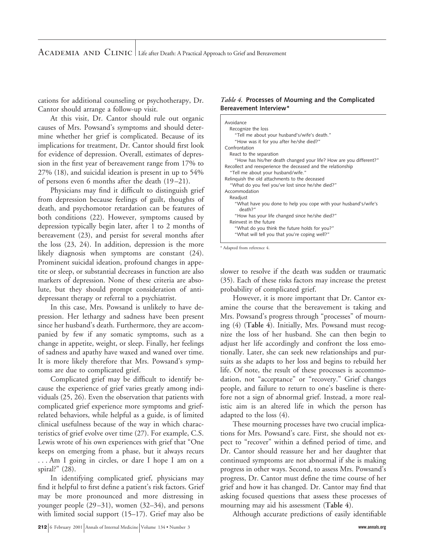cations for additional counseling or psychotherapy, Dr. Cantor should arrange a follow-up visit.

At this visit, Dr. Cantor should rule out organic causes of Mrs. Powsand's symptoms and should determine whether her grief is complicated. Because of its implications for treatment, Dr. Cantor should first look for evidence of depression. Overall, estimates of depression in the first year of bereavement range from 17% to 27% (18), and suicidal ideation is present in up to 54% of persons even 6 months after the death (19–21).

Physicians may find it difficult to distinguish grief from depression because feelings of guilt, thoughts of death, and psychomotor retardation can be features of both conditions (22). However, symptoms caused by depression typically begin later, after 1 to 2 months of bereavement (23), and persist for several months after the loss (23, 24). In addition, depression is the more likely diagnosis when symptoms are constant (24). Prominent suicidal ideation, profound changes in appetite or sleep, or substantial decreases in function are also markers of depression. None of these criteria are absolute, but they should prompt consideration of antidepressant therapy or referral to a psychiatrist.

In this case, Mrs. Powsand is unlikely to have depression. Her lethargy and sadness have been present since her husband's death. Furthermore, they are accompanied by few if any somatic symptoms, such as a change in appetite, weight, or sleep. Finally, her feelings of sadness and apathy have waxed and waned over time. It is more likely therefore that Mrs. Powsand's symptoms are due to complicated grief.

Complicated grief may be difficult to identify because the experience of grief varies greatly among individuals (25, 26). Even the observation that patients with complicated grief experience more symptoms and griefrelated behaviors, while helpful as a guide, is of limited clinical usefulness because of the way in which characteristics of grief evolve over time (27). For example, C.S. Lewis wrote of his own experiences with grief that "One keeps on emerging from a phase, but it always recurs . . . Am I going in circles, or dare I hope I am on a spiral?" (28).

In identifying complicated grief, physicians may find it helpful to first define a patient's risk factors. Grief may be more pronounced and more distressing in younger people (29–31), women (32–34), and persons with limited social support (15–17). Grief may also be

## *Table 4.* **Processes of Mourning and the Complicated Bereavement Interview\***

| Avoidance                                                         |
|-------------------------------------------------------------------|
| Recognize the loss                                                |
| "Tell me about your husband's/wife's death."                      |
| "How was it for you after he/she died?"                           |
| Confrontation                                                     |
| React to the separation                                           |
| "How has his/her death changed your life? How are you different?" |
| Recollect and reexperience the deceased and the relationship      |
| "Tell me about your husband/wife."                                |
|                                                                   |
| Relinguish the old attachments to the deceased                    |
| "What do you feel you've lost since he/she died?"                 |
| Accommodation                                                     |
| Readjust                                                          |
| "What have you done to help you cope with your husband's/wife's   |
| death?"                                                           |
| "How has your life changed since he/she died?"                    |
| Reinvest in the future                                            |
| "What do you think the future holds for you?"                     |
| "What will tell you that you're coping well?"                     |
|                                                                   |

\* Adapted from reference 4.

slower to resolve if the death was sudden or traumatic (35). Each of these risks factors may increase the pretest probability of complicated grief.

However, it is more important that Dr. Cantor examine the course that the bereavement is taking and Mrs. Powsand's progress through "processes" of mourning (4) (**Table 4**). Initially, Mrs. Powsand must recognize the loss of her husband. She can then begin to adjust her life accordingly and confront the loss emotionally. Later, she can seek new relationships and pursuits as she adapts to her loss and begins to rebuild her life. Of note, the result of these processes is accommodation, not "acceptance" or "recovery." Grief changes people, and failure to return to one's baseline is therefore not a sign of abnormal grief. Instead, a more realistic aim is an altered life in which the person has adapted to the loss (4).

These mourning processes have two crucial implications for Mrs. Powsand's care. First, she should not expect to "recover" within a defined period of time, and Dr. Cantor should reassure her and her daughter that continued symptoms are not abnormal if she is making progress in other ways. Second, to assess Mrs. Powsand's progress, Dr. Cantor must define the time course of her grief and how it has changed. Dr. Cantor may find that asking focused questions that assess these processes of mourning may aid his assessment (**Table 4**).

Although accurate predictions of easily identifiable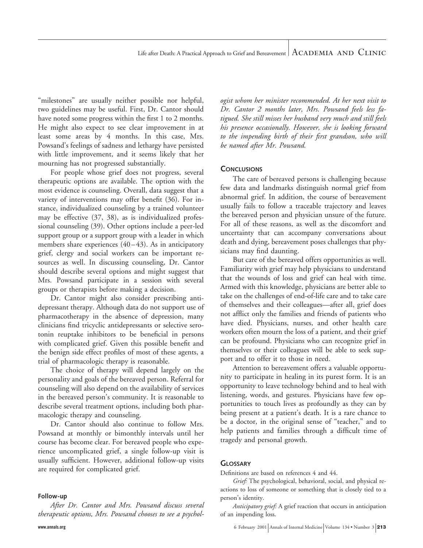"milestones" are usually neither possible nor helpful, two guidelines may be useful. First, Dr. Cantor should have noted some progress within the first 1 to 2 months. He might also expect to see clear improvement in at least some areas by 4 months. In this case, Mrs. Powsand's feelings of sadness and lethargy have persisted with little improvement, and it seems likely that her mourning has not progressed substantially.

For people whose grief does not progress, several therapeutic options are available. The option with the most evidence is counseling. Overall, data suggest that a variety of interventions may offer benefit (36). For instance, individualized counseling by a trained volunteer may be effective (37, 38), as is individualized professional counseling (39). Other options include a peer-led support group or a support group with a leader in which members share experiences (40–43). As in anticipatory grief, clergy and social workers can be important resources as well. In discussing counseling, Dr. Cantor should describe several options and might suggest that Mrs. Powsand participate in a session with several groups or therapists before making a decision.

Dr. Cantor might also consider prescribing antidepressant therapy. Although data do not support use of pharmacotherapy in the absence of depression, many clinicians find tricyclic antidepressants or selective serotonin reuptake inhibitors to be beneficial in persons with complicated grief. Given this possible benefit and the benign side effect profiles of most of these agents, a trial of pharmacologic therapy is reasonable.

The choice of therapy will depend largely on the personality and goals of the bereaved person. Referral for counseling will also depend on the availability of services in the bereaved person's community. It is reasonable to describe several treatment options, including both pharmacologic therapy and counseling.

Dr. Cantor should also continue to follow Mrs. Powsand at monthly or bimonthly intervals until her course has become clear. For bereaved people who experience uncomplicated grief, a single follow-up visit is usually sufficient. However, additional follow-up visits are required for complicated grief.

## **Follow-up**

*After Dr. Cantor and Mrs. Powsand discuss several therapeutic options, Mrs. Powsand chooses to see a psychol-* *ogist whom her minister recommended. At her next visit to Dr. Cantor 2 months later, Mrs. Powsand feels less fatigued. She still misses her husband very much and still feels his presence occasionally. However, she is looking forward to the impending birth of their first grandson, who will be named after Mr. Powsand.*

## **CONCLUSIONS**

The care of bereaved persons is challenging because few data and landmarks distinguish normal grief from abnormal grief. In addition, the course of bereavement usually fails to follow a traceable trajectory and leaves the bereaved person and physician unsure of the future. For all of these reasons, as well as the discomfort and uncertainty that can accompany conversations about death and dying, bereavement poses challenges that physicians may find daunting.

But care of the bereaved offers opportunities as well. Familiarity with grief may help physicians to understand that the wounds of loss and grief can heal with time. Armed with this knowledge, physicians are better able to take on the challenges of end-of-life care and to take care of themselves and their colleagues—after all, grief does not afflict only the families and friends of patients who have died. Physicians, nurses, and other health care workers often mourn the loss of a patient, and their grief can be profound. Physicians who can recognize grief in themselves or their colleagues will be able to seek support and to offer it to those in need.

Attention to bereavement offers a valuable opportunity to participate in healing in its purest form. It is an opportunity to leave technology behind and to heal with listening, words, and gestures. Physicians have few opportunities to touch lives as profoundly as they can by being present at a patient's death. It is a rare chance to be a doctor, in the original sense of "teacher," and to help patients and families through a difficult time of tragedy and personal growth.

## **GLOSSARY**

Definitions are based on references 4 and 44.

*Grief:* The psychological, behavioral, social, and physical reactions to loss of someone or something that is closely tied to a person's identity.

*Anticipatory grief:* A grief reaction that occurs in anticipation of an impending loss.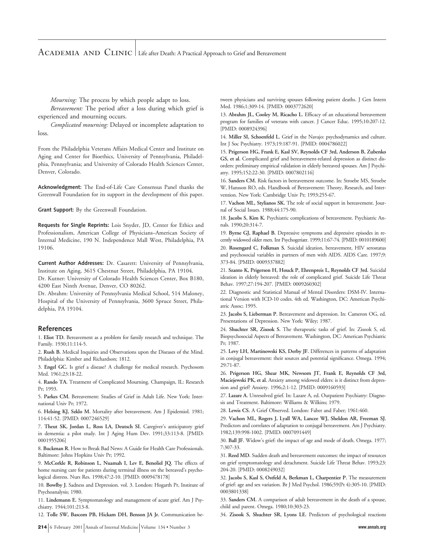## ACADEMIA AND CLINIC Life after Death: A Practical Approach to Grief and Bereavement

*Mourning:* The process by which people adapt to loss.

*Bereavement:* The period after a loss during which grief is experienced and mourning occurs.

*Complicated mourning:* Delayed or incomplete adaptation to loss.

From the Philadelphia Veterans Affairs Medical Center and Institute on Aging and Center for Bioethics, University of Pennsylvania, Philadelphia, Pennsylvania; and University of Colorado Health Sciences Center, Denver, Colorado.

**Acknowledgment:** The End-of-Life Care Consensus Panel thanks the Greenwall Foundation for its support in the development of this paper.

**Grant Support:** By the Greenwall Foundation.

**Requests for Single Reprints:** Lois Snyder, JD, Center for Ethics and Professionalism, American College of Physicians–American Society of Internal Medicine, 190 N. Independence Mall West, Philadelphia, PA 19106.

**Current Author Addresses:** Dr. Casarett: University of Pennsylvania, Institute on Aging, 3615 Chestnut Street, Philadelphia, PA 19104.

Dr. Kutner: University of Colorado Health Sciences Center, Box B180, 4200 East Ninth Avenue, Denver, CO 80262.

Dr. Abrahm: University of Pennsylvania Medical School, 514 Maloney, Hospital of the University of Pennsylvania, 3600 Spruce Street, Philadelphia, PA 19104.

## **References**

1. **Eliot TD.** Bereavement as a problem for family research and technique. The Family. 1930;11:114-5.

2. **Rush B.** Medical Inquiries and Observations upon the Diseases of the Mind. Philadelphia: Kimber and Richardson; 1812.

3. **Engel GC.** Is grief a disease? A challenge for medical research. Psychosom Med. 1961;23:18-22.

4. **Rando TA.** Treatment of Complicated Mourning. Champaign, IL: Research Pr; 1993.

5. **Parkes CM.** Bereavement: Studies of Grief in Adult Life. New York: International Univ Pr; 1972.

6. **Helsing KJ, Szklo M.** Mortality after bereavement. Am J Epidemiol. 1981; 114:41-52. [PMID: 0007246529]

7. **Theut SK, Jordan L, Ross LA, Deutsch SI.** Caregiver's anticipatory grief in dementia: a pilot study. Int J Aging Hum Dev. 1991;33:113-8. [PMID: 0001955206]

8. **Buckman R.** How to Break Bad News: A Guide for Health Care Professionals. Baltimore: Johns Hopkins Univ Pr; 1992.

9. **McCorkle R, Robinson L, Nuamah I, Lev E, Benoliel JQ.** The effects of home nursing care for patients during terminal illness on the bereaved's psychological distress. Nurs Res. 1998;47:2-10. [PMID: 0009478178]

10. **Bowlby J.** Sadness and Depression. vol. 3. London: Hogarth Pr, Institute of Psychoanalysis; 1980.

11. **Lindemann E.** Symptomatology and management of acute grief. Am J Psychiatry. 1944;101:213-8.

12. **Tolle SW, Bascom PB, Hickam DH, Benson JA Jr.** Communication be-

tween physicians and surviving spouses following patient deaths. J Gen Intern Med. 1986;1:309-14. [PMID: 0003772620]

13. **Abrahm JL, Cooley M, Ricacho L.** Efficacy of an educational bereavement program for families of veterans with cancer. J Cancer Educ. 1995;10:207-12. [PMID: 0008924396]

14. **Miller SI, Schoenfeld L.** Grief in the Navajo: psychodynamics and culture. Int J Soc Psychiatry. 1973;19:187-91. [PMID: 0004786022]

15. **Prigerson HG, Frank E, Kasl SV, Reynolds CF 3rd, Anderson B, Zubenko GS, et al.** Complicated grief and bereavement-related depression as distinct disorders: preliminary empirical validation in elderly bereaved spouses. Am J Psychiatry. 1995;152:22-30. [PMID: 0007802116]

16. **Sanders CM.** Risk factors in bereavement outcome. In: Stroebe MS, Stroebe W, Hansson RO, eds. Handbook of Bereavement: Theory, Research, and Intervention. New York: Cambridge Univ Pr; 1993:255-67.

17. **Vachon ML, Stylianos SK.** The role of social support in bereavement. Journal of Social Issues. 1988;44:175-90.

18. **Jacobs S, Kim K.** Psychiatric complications of bereavement. Psychiatric Annals. 1990;20:314-7.

19. **Byrne GJ, Raphael B.** Depressive symptoms and depressive episodes in recently widowed older men. Int Psychogeriatr. 1999;11:67-74. [PMID: 0010189600] 20. **Rosengard C, Folkman S.** Suicidal ideation, bereavement, HIV serostatus and psychosocial variables in partners of men with AIDS. AIDS Care. 1997;9: 373-84. [PMID: 0009337882]

21. **Szanto K, Prigerson H, Houck P, Ehrenpreis L, Reynolds CF 3rd.** Suicidal ideation in elderly bereaved: the role of complicated grief. Suicide Life Threat Behav. 1997;27:194-207. [PMID: 0009260302]

22. Diagnostic and Statistical Manual of Mental Disorders: DSM-IV. International Version with ICD-10 codes. 4th ed. Washington, DC: American Psychiatric Assoc; 1995.

23. **Jacobs S, Lieberman P.** Bereavement and depression. In: Cameron OG, ed. Presentations of Depression. New York: Wiley; 1987.

24. **Shuchter SR, Zisook S.** The therapeutic tasks of grief. In: Zisook S, ed. Biopsychosocial Aspects of Bereavement. Washington, DC: American Psychiatric Pr; 1987.

25. **Levy LH, Martinowski KS, Derby JF.** Differences in patterns of adaptation in conjugal bereavement: their sources and potential significance. Omega. 1994; 29:71-87.

26. **Prigerson HG, Shear MK, Newsom JT, Frank E, Reynolds CF 3rd, Maciejewski PK, et al.** Anxiety among widowed elders: is it distinct from depression and grief? Anxiety. 1996;2:1-12. [PMID: 0009160593]

27. **Lazare A.** Unresolved grief. In: Lazare A, ed. Outpatient Psychiatry: Diagnosis and Treatment. Baltimore: Williams & Wilkins; 1979.

28. **Lewis CS.** A Grief Observed. London: Faber and Faber; 1961:460.

29. **Vachon ML, Rogers J, Lyall WA, Lancee WJ, Sheldon AR, Freeman SJ.** Predictors and correlates of adaptation to conjugal bereavement. Am J Psychiatry. 1982;139:998-1002. [PMID: 0007091449]

30. **Ball JF.** Widow's grief: the impact of age and mode of death. Omega. 1977; 7:307-33.

31. **Reed MD.** Sudden death and bereavement outcomes: the impact of resources on grief symptomatology and detachment. Suicide Life Threat Behav. 1993;23: 204-20. [PMID: 0008249032]

32. **Jacobs S, Kasl S, Ostfeld A, Berkman L, Charpentier P.** The measurement of grief: age and sex variation. Br J Med Psychol. 1986;59(Pt 4):305-10. [PMID: 0003801338]

33. **Sanders CM.** A comparison of adult bereavement in the death of a spouse, child and parent. Omega. 1980;10:303-23.

34. **Zisook S, Shuchter SR, Lyons LE.** Predictors of psychological reactions

**214** 6 February 2001 Annals of Internal Medicine Volume 134 • Number 3 **www.annals.org**